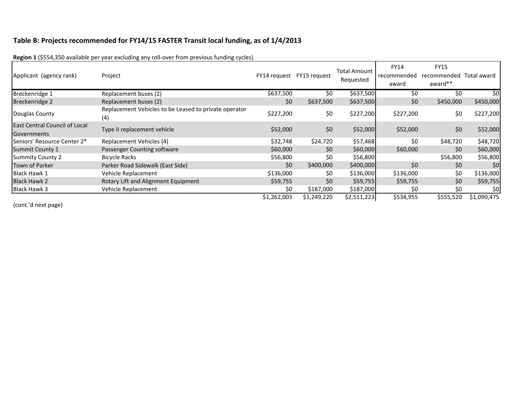# **Table B: Projects recommended for FY14/15 FASTER Transit local funding, as of 1/4/2013**

| Applicant (agency rank)                             | Project                                                      | FY14 request | FY15 request | <b>Total Amount</b><br>Requested | <b>FY14</b><br>recommended<br>award | <b>FY15</b><br>recommended<br>award** | Total award |
|-----------------------------------------------------|--------------------------------------------------------------|--------------|--------------|----------------------------------|-------------------------------------|---------------------------------------|-------------|
| Breckenridge 1                                      | Replacement buses (2)                                        | \$637,500    | \$0          | \$637,500                        | \$0                                 | \$0                                   | \$0         |
| Breckenridge 2                                      | Replacement buses (2)                                        | \$0          | \$637,500    | \$637,500                        | \$0                                 | \$450,000                             | \$450,000   |
| Douglas County                                      | Replacement Vehicles to be Leased to private operator<br>(4) | \$227,200    | \$0          | \$227,200                        | \$227,200                           | \$0                                   | \$227,200   |
| <b>East Central Council of Local</b><br>Governments | Type II replacement vehicle                                  | \$52,000     | \$0          | \$52,000                         | \$52,000                            | \$0                                   | \$52,000    |
| Seniors' Resource Center 2*                         | Replacement Vehicles (4)                                     | \$32,748     | \$24,720     | \$57,468                         | \$0                                 | \$48,720                              | \$48,720    |
| <b>Summit County 1</b>                              | Passenger Counting software                                  | \$60,000     | \$0          | \$60,000                         | \$60,000                            | \$0                                   | \$60,000    |
| <b>Summity County 2</b>                             | <b>Bicycle Racks</b>                                         | \$56,800     | \$0          | \$56,800                         |                                     | \$56,800                              | \$56,800    |
| <b>Town of Parker</b>                               | Parker Road Sidewalk (East Side)                             | \$0          | \$400,000    | \$400,000                        | \$0                                 | \$0                                   | \$0         |
| <b>Black Hawk 1</b>                                 | Vehicle Replacement                                          | \$136,000    | \$0          | \$136,000                        | \$136,000                           | \$0                                   | \$136,000   |
| <b>Black Hawk 2</b>                                 | Rotary Lift and Alignment Equipment                          | \$59,755     | \$0          | \$59,755                         | \$59,755                            | \$0                                   | \$59,755    |
| <b>Black Hawk 3</b>                                 | Vehicle Replacement                                          | \$0          | \$187,000    | \$187,000                        | S0                                  | \$0                                   | \$0         |
|                                                     |                                                              | \$1,262,003  | \$1,249,220  | \$2,511,223                      | \$534,955                           | \$555,520                             | \$1,090,475 |

**Region 1** (\$554,350 available per year excluding any roll-over from previous funding cycles)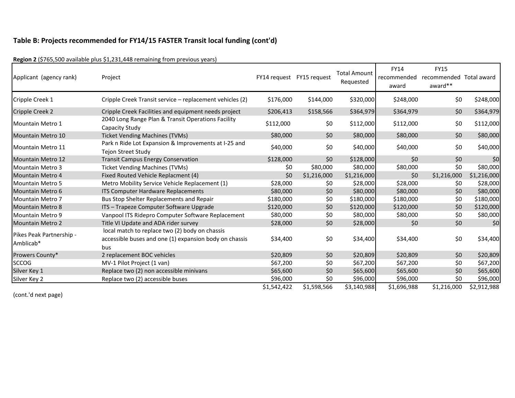| Applicant (agency rank)               | Project                                                                                                         | FY14 request FY15 request |             | <b>Total Amount</b><br>Requested | <b>FY14</b><br>recommended<br>award | <b>FY15</b><br>recommended Total award<br>award** |             |
|---------------------------------------|-----------------------------------------------------------------------------------------------------------------|---------------------------|-------------|----------------------------------|-------------------------------------|---------------------------------------------------|-------------|
| Cripple Creek 1                       | Cripple Creek Transit service - replacement vehicles (2)                                                        | \$176,000                 | \$144,000   | \$320,000                        | \$248,000                           | \$0                                               | \$248,000   |
| Cripple Creek 2                       | Cripple Creek Facilities and equipment needs project                                                            | \$206,413                 | \$158,566   | \$364,979                        | \$364,979                           | \$0                                               | \$364,979   |
| Mountain Metro 1                      | 2040 Long Range Plan & Transit Operations Facility<br>Capacity Study                                            | \$112,000                 | \$0         | \$112,000                        | \$112,000                           | \$0                                               | \$112,000   |
| Mountain Metro 10                     | <b>Ticket Vending Machines (TVMs)</b>                                                                           | \$80,000                  | \$0         | \$80,000                         | \$80,000                            | \$0                                               | \$80,000    |
| Mountain Metro 11                     | Park n Ride Lot Expansion & Improvements at I-25 and<br><b>Tejon Street Study</b>                               | \$40,000                  | \$0         | \$40,000                         | \$40,000                            | \$0                                               | \$40,000    |
| <b>Mountain Metro 12</b>              | <b>Transit Campus Energy Conservation</b>                                                                       | \$128,000                 | \$0         | \$128,000                        | \$0                                 | \$0                                               | \$0         |
| <b>Mountain Metro 3</b>               | <b>Ticket Vending Machines (TVMs)</b>                                                                           | \$0                       | \$80,000    | \$80,000                         | \$80,000                            | \$0                                               | \$80,000    |
| <b>Mountain Metro 4</b>               | Fixed Routed Vehicle Replacment (4)                                                                             | \$0                       | \$1,216,000 | \$1,216,000                      | \$0                                 | \$1,216,000                                       | \$1,216,000 |
| <b>Mountain Metro 5</b>               | Metro Mobility Service Vehicle Replacement (1)                                                                  | \$28,000                  | \$0         | \$28,000                         | \$28,000                            | \$0                                               | \$28,000    |
| Mountain Metro 6                      | <b>ITS Computer Hardware Replacements</b>                                                                       | \$80,000                  | \$0         | \$80,000                         | \$80,000                            | \$0                                               | \$80,000    |
| <b>Mountain Metro 7</b>               | Bus Stop Shelter Replacements and Repair                                                                        | \$180,000                 | \$0         | \$180,000                        | \$180,000                           | \$0                                               | \$180,000   |
| <b>Mountain Metro 8</b>               | ITS - Trapeze Computer Software Upgrade                                                                         | \$120,000                 | \$0         | \$120,000                        | \$120,000                           | \$0                                               | \$120,000   |
| <b>Mountain Metro 9</b>               | Vanpool ITS Ridepro Computer Software Replacement                                                               | \$80,000                  | \$0         | \$80,000                         | \$80,000                            | \$0                                               | \$80,000    |
| <b>Mountain Metro 2</b>               | Title VI Update and ADA rider survey                                                                            | \$28,000                  | \$0         | \$28,000                         | \$0                                 | \$0                                               | \$0         |
| Pikes Peak Partnership -<br>Amblicab* | local match to replace two (2) body on chassis<br>accessible buses and one (1) expansion body on chassis<br>bus | \$34,400                  | \$0         | \$34,400                         | \$34,400                            | \$0                                               | \$34,400    |
| Prowers County*                       | 2 replacement BOC vehicles                                                                                      | \$20,809                  | \$0         | \$20,809                         | \$20,809                            | \$0                                               | \$20,809    |
| <b>SCCOG</b>                          | MV-1 Pilot Project (1 van)                                                                                      | \$67,200                  | \$0         | \$67,200                         | \$67,200                            | \$0                                               | \$67,200    |
| Silver Key 1                          | Replace two (2) non accessible minivans                                                                         | \$65,600                  | \$0         | \$65,600                         | \$65,600                            | \$0                                               | \$65,600    |
| Silver Key 2                          | Replace two (2) accessible buses                                                                                | \$96,000                  | \$0         | \$96,000                         | \$96,000                            | \$0                                               | \$96,000    |
|                                       |                                                                                                                 | \$1,542,422               | \$1,598,566 | \$3,140,988                      | \$1,696,988                         | \$1,216,000                                       | \$2,912,988 |

**Region 2** (\$765,500 available plus \$1,231,448 remaining from previous years)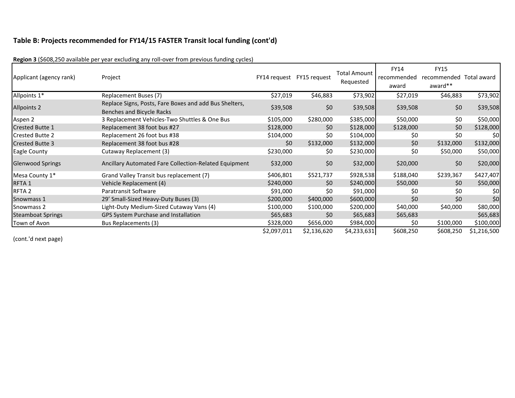| Applicant (agency rank)  | Project                                                                             | FY14 request FY15 request |                 | Total Amount<br>Requested | <b>FY14</b><br>recommended<br>award | <b>FY15</b><br>recommended<br>award** | Total award |
|--------------------------|-------------------------------------------------------------------------------------|---------------------------|-----------------|---------------------------|-------------------------------------|---------------------------------------|-------------|
| Allpoints 1*             | Replacement Buses (7)                                                               | \$27,019                  | \$46,883        | \$73,902                  | \$27,019                            | \$46,883                              | \$73,902    |
| <b>Allpoints 2</b>       | Replace Signs, Posts, Fare Boxes and add Bus Shelters,<br>Benches and Bicycle Racks | \$39,508                  | \$0             | \$39,508                  | \$39,508                            | \$0\$                                 | \$39,508    |
| Aspen 2                  | 3 Replacement Vehicles-Two Shuttles & One Bus                                       | \$105,000                 | \$280,000       | \$385,000                 | \$50,000                            | \$0                                   | \$50,000    |
| <b>Crested Butte 1</b>   | Replacement 38 foot bus #27                                                         | \$128,000                 | \$0             | \$128,000                 | \$128,000                           | \$0                                   | \$128,000   |
| <b>Crested Butte 2</b>   | Replacement 26 foot bus #38                                                         | \$104,000                 | \$0             | \$104,000                 | \$0                                 | \$0                                   | \$0         |
| <b>Crested Butte 3</b>   | Replacement 38 foot bus #28                                                         | \$0                       | \$132,000       | \$132,000                 | \$0                                 | \$132,000                             | \$132,000   |
| <b>Eagle County</b>      | Cutaway Replacement (3)                                                             | \$230,000                 | \$0             | \$230,000                 | \$0                                 | \$50,000                              | \$50,000    |
| <b>Glenwood Springs</b>  | Ancillary Automated Fare Collection-Related Equipment                               | \$32,000                  | \$0             | \$32,000                  | \$20,000                            | \$0                                   | \$20,000    |
| Mesa County 1*           | Grand Valley Transit bus replacement (7)                                            | \$406,801                 | \$521,737       | \$928,538                 | \$188,040                           | \$239,367                             | \$427,407   |
| RFTA <sub>1</sub>        | Vehicle Replacement (4)                                                             | \$240,000                 | 50 <sub>2</sub> | \$240,000                 | \$50,000                            | \$0                                   | \$50,000    |
| RFTA <sub>2</sub>        | Paratransit Software                                                                | \$91,000                  | \$0             | \$91,000                  | \$0                                 | \$0                                   | \$0         |
| Snowmass 1               | 29' Small-Sized Heavy-Duty Buses (3)                                                | \$200,000                 | \$400,000       | \$600,000                 | \$0                                 | \$0                                   | \$0         |
| Snowmass 2               | Light-Duty Medium-Sized Cutaway Vans (4)                                            | \$100,000                 | \$100,000       | \$200,000                 | \$40,000                            | \$40,000                              | \$80,000    |
| <b>Steamboat Springs</b> | GPS System Purchase and Installation                                                | \$65,683                  | \$0             | \$65,683                  | \$65,683                            |                                       | \$65,683    |
| Town of Avon             | Bus Replacements (3)                                                                | \$328,000                 | \$656,000       | \$984,000                 | \$0                                 | \$100,000                             | \$100,000   |
|                          |                                                                                     | \$2,097,011               | \$2,136,620     | \$4,233,631               | \$608,250                           | \$608,250                             | \$1,216,500 |

**Region 3** (\$608,250 available per year excluding any roll-over from previous funding cycles)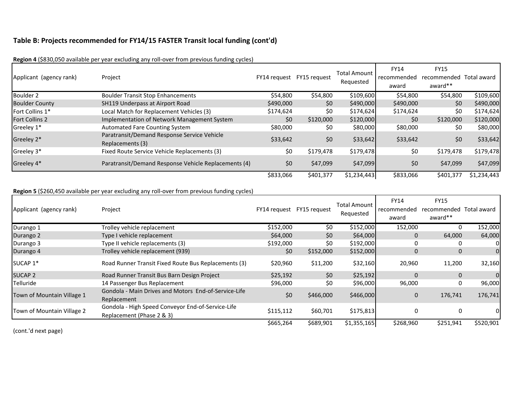| Applicant (agency rank) | Project                                                         | FY14 request FY15 request |           | <b>Total Amount</b><br>Requested | FY14<br>recommended<br>award | <b>FY15</b><br>recommended Total award<br>award** |             |
|-------------------------|-----------------------------------------------------------------|---------------------------|-----------|----------------------------------|------------------------------|---------------------------------------------------|-------------|
| Boulder 2               | <b>Boulder Transit Stop Enhancements</b>                        | \$54,800                  | \$54,800  | \$109,600                        | \$54,800                     | \$54,800                                          | \$109,600   |
| <b>Boulder County</b>   | <b>SH119 Underpass at Airport Road</b>                          | \$490,000                 | \$0       | \$490,000                        | \$490,000                    | \$0                                               | \$490,000   |
| Fort Collins 1*         | Local Match for Replacement Vehicles (3)                        | \$174,624                 | \$0       | \$174,624                        | \$174,624                    | \$0                                               | \$174,624   |
| <b>Fort Collins 2</b>   | Implementation of Network Management System                     | \$0                       | \$120,000 | \$120,000                        | \$0                          | \$120,000                                         | \$120,000   |
| Greeley 1*              | <b>Automated Fare Counting System</b>                           | \$80,000                  | \$0       | \$80,000                         | \$80,000                     | \$0                                               | \$80,000    |
| Greeley 2*              | Paratransit/Demand Response Service Vehicle<br>Replacements (3) | \$33,642                  | \$0       | \$33,642                         | \$33,642                     | \$0                                               | \$33,642    |
| Greeley 3*              | Fixed Route Service Vehicle Replacements (3)                    | \$0                       | \$179,478 | \$179,478                        | \$0                          | \$179,478                                         | \$179,478   |
| Greeley 4*              | Paratransit/Demand Response Vehicle Replacements (4)            | \$0                       | \$47,099  | \$47,099                         | \$0                          | \$47,099                                          | \$47,099    |
|                         |                                                                 | \$833,066                 | \$401,377 | \$1,234,443                      | \$833,066                    | \$401,377                                         | \$1,234,443 |

**Region 4** (\$830,050 available per year excluding any roll-over from previous funding cycles)

#### **Region 5** (\$260,450 available per year excluding any roll-over from previous funding cycles)

| Applicant (agency rank)    | Project                                                                        |           | FY14 request FY15 request | <b>Total Amount</b><br>Requested | FY14<br>recommended<br>award | <b>FY15</b><br>recommended<br>award** | Total award    |
|----------------------------|--------------------------------------------------------------------------------|-----------|---------------------------|----------------------------------|------------------------------|---------------------------------------|----------------|
| Durango 1                  | Trolley vehicle replacement                                                    | \$152,000 | \$0                       | \$152,000                        | 152,000                      | 0                                     | 152,000        |
| Durango 2                  | Type I vehicle replacement                                                     | \$64,000  | \$0                       | \$64,000                         | 0                            | 64,000                                | 64,000         |
| Durango 3                  | Type II vehicle replacements (3)                                               | \$192,000 | \$0                       | \$192,000                        |                              | 0                                     | 01             |
| Durango 4                  | Trolley vehicle replacement (939)                                              | \$0       | \$152,000                 | \$152,000                        | 0                            | $\mathbf{0}$                          | $\overline{0}$ |
| SUCAP 1*                   | Road Runner Transit Fixed Route Bus Replacements (3)                           | \$20,960  | \$11,200                  | \$32,160                         | 20,960                       | 11,200                                | 32,160         |
| <b>SUCAP 2</b>             | Road Runner Transit Bus Barn Design Project                                    | \$25,192  | \$0                       | \$25,192                         | $\Omega$                     | $\Omega$                              | $\overline{0}$ |
| Telluride                  | 14 Passenger Bus Replacement                                                   | \$96,000  | \$0                       | \$96,000                         | 96,000                       | 0                                     | 96,000         |
| Town of Mountain Village 1 | Gondola - Main Drives and Motors End-of-Service-Life<br>Replacement            | \$0       | \$466,000                 | \$466,000                        | $\Omega$                     | 176,741                               | 176,741        |
| Town of Mountain Village 2 | Gondola - High Speed Conveyor End-of-Service-Life<br>Replacement (Phase 2 & 3) | \$115,112 | \$60,701                  | \$175,813                        |                              | 0                                     | 01             |
|                            |                                                                                | \$665,264 | \$689,901                 | \$1,355,165                      | \$268,960                    | \$251,941                             | \$520,901      |